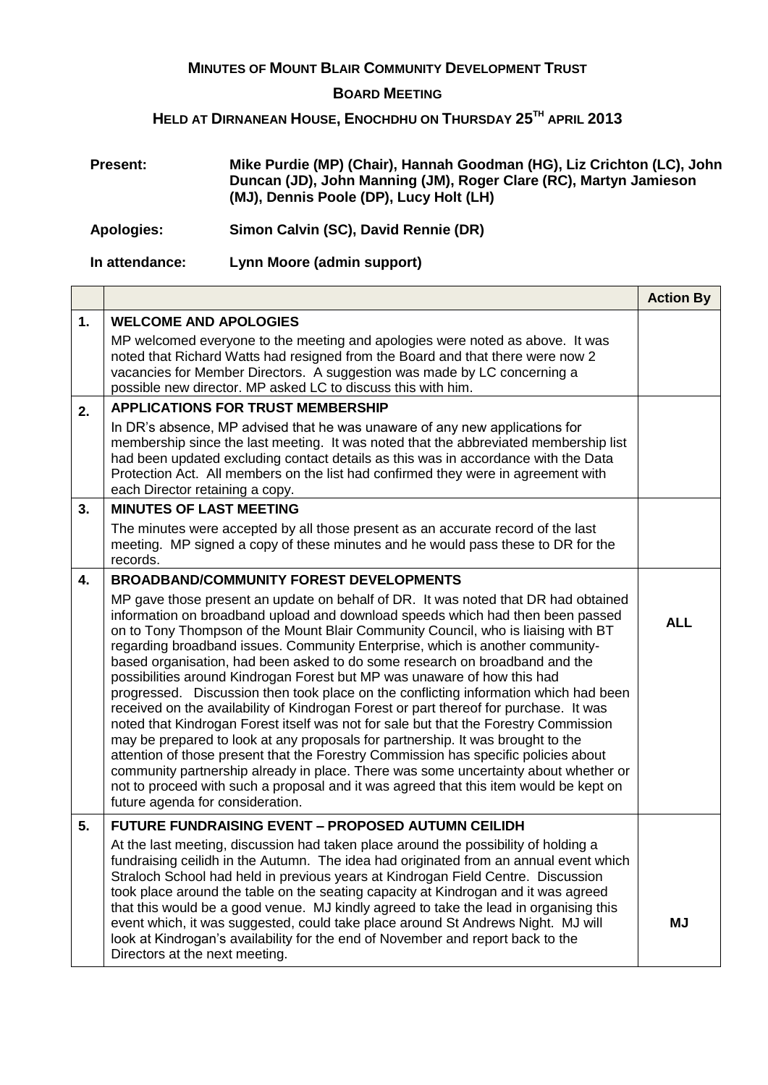## **MINUTES OF MOUNT BLAIR COMMUNITY DEVELOPMENT TRUST**

## **BOARD MEETING**

## **HELD AT DIRNANEAN HOUSE, ENOCHDHU ON THURSDAY 25TH APRIL 2013**

| <b>Present:</b> | Mike Purdie (MP) (Chair), Hannah Goodman (HG), Liz Crichton (LC), John<br>Duncan (JD), John Manning (JM), Roger Clare (RC), Martyn Jamieson<br>(MJ), Dennis Poole (DP), Lucy Holt (LH) |
|-----------------|----------------------------------------------------------------------------------------------------------------------------------------------------------------------------------------|
| Apologies:      | Simon Calvin (SC), David Rennie (DR)                                                                                                                                                   |

## **In attendance: Lynn Moore (admin support)**

|    |                                                                                                                                                                                                                                                                                                                                                                                                                                                                                                                                                                                                                                                                                                                                                                                                                                                                                                                                                                                                                                                                                                                                                                              | <b>Action By</b> |
|----|------------------------------------------------------------------------------------------------------------------------------------------------------------------------------------------------------------------------------------------------------------------------------------------------------------------------------------------------------------------------------------------------------------------------------------------------------------------------------------------------------------------------------------------------------------------------------------------------------------------------------------------------------------------------------------------------------------------------------------------------------------------------------------------------------------------------------------------------------------------------------------------------------------------------------------------------------------------------------------------------------------------------------------------------------------------------------------------------------------------------------------------------------------------------------|------------------|
| 1. | <b>WELCOME AND APOLOGIES</b><br>MP welcomed everyone to the meeting and apologies were noted as above. It was<br>noted that Richard Watts had resigned from the Board and that there were now 2<br>vacancies for Member Directors. A suggestion was made by LC concerning a<br>possible new director. MP asked LC to discuss this with him.                                                                                                                                                                                                                                                                                                                                                                                                                                                                                                                                                                                                                                                                                                                                                                                                                                  |                  |
| 2. | <b>APPLICATIONS FOR TRUST MEMBERSHIP</b><br>In DR's absence, MP advised that he was unaware of any new applications for                                                                                                                                                                                                                                                                                                                                                                                                                                                                                                                                                                                                                                                                                                                                                                                                                                                                                                                                                                                                                                                      |                  |
|    | membership since the last meeting. It was noted that the abbreviated membership list<br>had been updated excluding contact details as this was in accordance with the Data<br>Protection Act. All members on the list had confirmed they were in agreement with<br>each Director retaining a copy.                                                                                                                                                                                                                                                                                                                                                                                                                                                                                                                                                                                                                                                                                                                                                                                                                                                                           |                  |
| 3. | <b>MINUTES OF LAST MEETING</b>                                                                                                                                                                                                                                                                                                                                                                                                                                                                                                                                                                                                                                                                                                                                                                                                                                                                                                                                                                                                                                                                                                                                               |                  |
|    | The minutes were accepted by all those present as an accurate record of the last<br>meeting. MP signed a copy of these minutes and he would pass these to DR for the<br>records.                                                                                                                                                                                                                                                                                                                                                                                                                                                                                                                                                                                                                                                                                                                                                                                                                                                                                                                                                                                             |                  |
| 4. | <b>BROADBAND/COMMUNITY FOREST DEVELOPMENTS</b>                                                                                                                                                                                                                                                                                                                                                                                                                                                                                                                                                                                                                                                                                                                                                                                                                                                                                                                                                                                                                                                                                                                               |                  |
|    | MP gave those present an update on behalf of DR. It was noted that DR had obtained<br>information on broadband upload and download speeds which had then been passed<br>on to Tony Thompson of the Mount Blair Community Council, who is liaising with BT<br>regarding broadband issues. Community Enterprise, which is another community-<br>based organisation, had been asked to do some research on broadband and the<br>possibilities around Kindrogan Forest but MP was unaware of how this had<br>progressed. Discussion then took place on the conflicting information which had been<br>received on the availability of Kindrogan Forest or part thereof for purchase. It was<br>noted that Kindrogan Forest itself was not for sale but that the Forestry Commission<br>may be prepared to look at any proposals for partnership. It was brought to the<br>attention of those present that the Forestry Commission has specific policies about<br>community partnership already in place. There was some uncertainty about whether or<br>not to proceed with such a proposal and it was agreed that this item would be kept on<br>future agenda for consideration. | <b>ALL</b>       |
| 5. | <b>FUTURE FUNDRAISING EVENT - PROPOSED AUTUMN CEILIDH</b>                                                                                                                                                                                                                                                                                                                                                                                                                                                                                                                                                                                                                                                                                                                                                                                                                                                                                                                                                                                                                                                                                                                    |                  |
|    | At the last meeting, discussion had taken place around the possibility of holding a<br>fundraising ceilidh in the Autumn. The idea had originated from an annual event which<br>Straloch School had held in previous years at Kindrogan Field Centre. Discussion<br>took place around the table on the seating capacity at Kindrogan and it was agreed<br>that this would be a good venue. MJ kindly agreed to take the lead in organising this<br>event which, it was suggested, could take place around St Andrews Night. MJ will<br>look at Kindrogan's availability for the end of November and report back to the<br>Directors at the next meeting.                                                                                                                                                                                                                                                                                                                                                                                                                                                                                                                     | <b>MJ</b>        |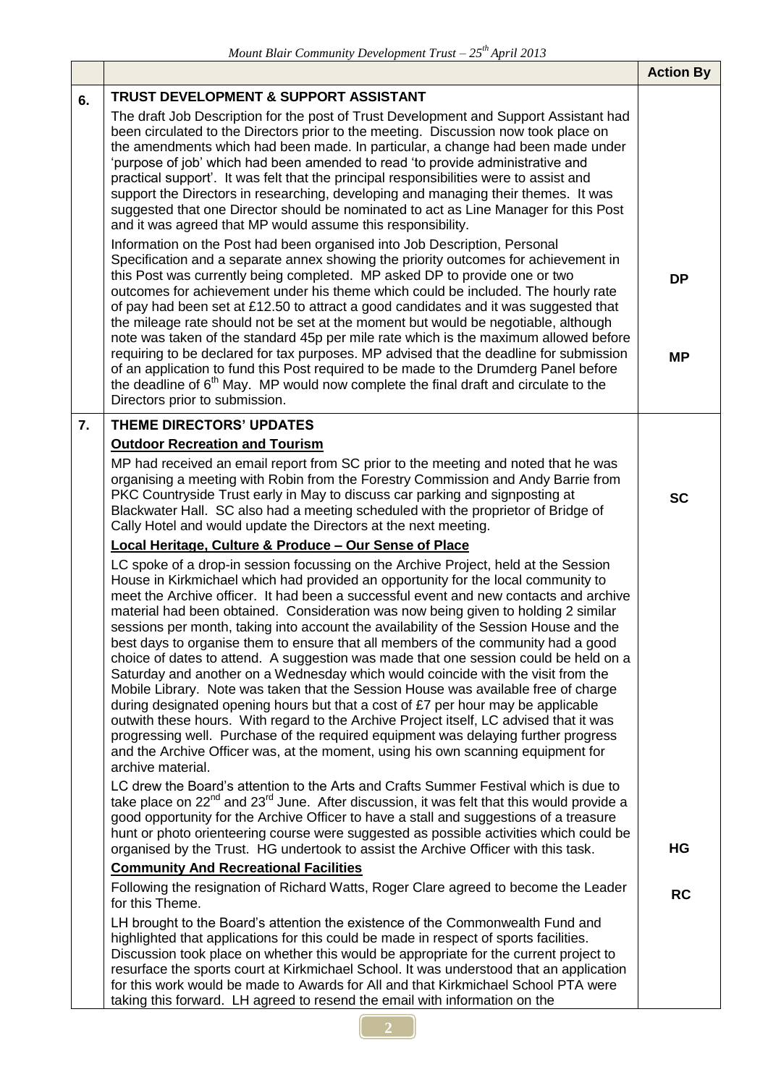|    |                                                                                                                                                                                                                                                                                                                                                                                                                                                                                                                                                                                                                                                                                                                                                                                                                                                                                                                                                                                                                                                                                                                                                                                        | <b>Action By</b>       |
|----|----------------------------------------------------------------------------------------------------------------------------------------------------------------------------------------------------------------------------------------------------------------------------------------------------------------------------------------------------------------------------------------------------------------------------------------------------------------------------------------------------------------------------------------------------------------------------------------------------------------------------------------------------------------------------------------------------------------------------------------------------------------------------------------------------------------------------------------------------------------------------------------------------------------------------------------------------------------------------------------------------------------------------------------------------------------------------------------------------------------------------------------------------------------------------------------|------------------------|
| 6. | <b>TRUST DEVELOPMENT &amp; SUPPORT ASSISTANT</b>                                                                                                                                                                                                                                                                                                                                                                                                                                                                                                                                                                                                                                                                                                                                                                                                                                                                                                                                                                                                                                                                                                                                       |                        |
|    | The draft Job Description for the post of Trust Development and Support Assistant had<br>been circulated to the Directors prior to the meeting. Discussion now took place on<br>the amendments which had been made. In particular, a change had been made under<br>'purpose of job' which had been amended to read 'to provide administrative and<br>practical support'. It was felt that the principal responsibilities were to assist and<br>support the Directors in researching, developing and managing their themes. It was<br>suggested that one Director should be nominated to act as Line Manager for this Post<br>and it was agreed that MP would assume this responsibility.<br>Information on the Post had been organised into Job Description, Personal<br>Specification and a separate annex showing the priority outcomes for achievement in                                                                                                                                                                                                                                                                                                                           |                        |
|    | this Post was currently being completed. MP asked DP to provide one or two<br>outcomes for achievement under his theme which could be included. The hourly rate<br>of pay had been set at £12.50 to attract a good candidates and it was suggested that<br>the mileage rate should not be set at the moment but would be negotiable, although<br>note was taken of the standard 45p per mile rate which is the maximum allowed before<br>requiring to be declared for tax purposes. MP advised that the deadline for submission<br>of an application to fund this Post required to be made to the Drumderg Panel before<br>the deadline of 6 <sup>th</sup> May. MP would now complete the final draft and circulate to the<br>Directors prior to submission.                                                                                                                                                                                                                                                                                                                                                                                                                           | <b>DP</b><br><b>MP</b> |
| 7. | <b>THEME DIRECTORS' UPDATES</b>                                                                                                                                                                                                                                                                                                                                                                                                                                                                                                                                                                                                                                                                                                                                                                                                                                                                                                                                                                                                                                                                                                                                                        |                        |
|    | <b>Outdoor Recreation and Tourism</b>                                                                                                                                                                                                                                                                                                                                                                                                                                                                                                                                                                                                                                                                                                                                                                                                                                                                                                                                                                                                                                                                                                                                                  |                        |
|    | MP had received an email report from SC prior to the meeting and noted that he was<br>organising a meeting with Robin from the Forestry Commission and Andy Barrie from<br>PKC Countryside Trust early in May to discuss car parking and signposting at<br>Blackwater Hall. SC also had a meeting scheduled with the proprietor of Bridge of<br>Cally Hotel and would update the Directors at the next meeting.                                                                                                                                                                                                                                                                                                                                                                                                                                                                                                                                                                                                                                                                                                                                                                        | <b>SC</b>              |
|    | Local Heritage, Culture & Produce - Our Sense of Place                                                                                                                                                                                                                                                                                                                                                                                                                                                                                                                                                                                                                                                                                                                                                                                                                                                                                                                                                                                                                                                                                                                                 |                        |
|    | LC spoke of a drop-in session focussing on the Archive Project, held at the Session<br>House in Kirkmichael which had provided an opportunity for the local community to<br>meet the Archive officer. It had been a successful event and new contacts and archive<br>material had been obtained. Consideration was now being given to holding 2 similar<br>sessions per month, taking into account the availability of the Session House and the<br>best days to organise them to ensure that all members of the community had a good<br>choice of dates to attend. A suggestion was made that one session could be held on a<br>Saturday and another on a Wednesday which would coincide with the visit from the<br>Mobile Library. Note was taken that the Session House was available free of charge<br>during designated opening hours but that a cost of $E7$ per hour may be applicable<br>outwith these hours. With regard to the Archive Project itself, LC advised that it was<br>progressing well. Purchase of the required equipment was delaying further progress<br>and the Archive Officer was, at the moment, using his own scanning equipment for<br>archive material. |                        |
|    | LC drew the Board's attention to the Arts and Crafts Summer Festival which is due to<br>take place on $22^{nd}$ and $23^{rd}$ June. After discussion, it was felt that this would provide a<br>good opportunity for the Archive Officer to have a stall and suggestions of a treasure<br>hunt or photo orienteering course were suggested as possible activities which could be<br>organised by the Trust. HG undertook to assist the Archive Officer with this task.                                                                                                                                                                                                                                                                                                                                                                                                                                                                                                                                                                                                                                                                                                                  | HG                     |
|    | <b>Community And Recreational Facilities</b>                                                                                                                                                                                                                                                                                                                                                                                                                                                                                                                                                                                                                                                                                                                                                                                                                                                                                                                                                                                                                                                                                                                                           |                        |
|    | Following the resignation of Richard Watts, Roger Clare agreed to become the Leader<br>for this Theme.                                                                                                                                                                                                                                                                                                                                                                                                                                                                                                                                                                                                                                                                                                                                                                                                                                                                                                                                                                                                                                                                                 | <b>RC</b>              |
|    | LH brought to the Board's attention the existence of the Commonwealth Fund and<br>highlighted that applications for this could be made in respect of sports facilities.<br>Discussion took place on whether this would be appropriate for the current project to<br>resurface the sports court at Kirkmichael School. It was understood that an application<br>for this work would be made to Awards for All and that Kirkmichael School PTA were<br>taking this forward. LH agreed to resend the email with information on the                                                                                                                                                                                                                                                                                                                                                                                                                                                                                                                                                                                                                                                        |                        |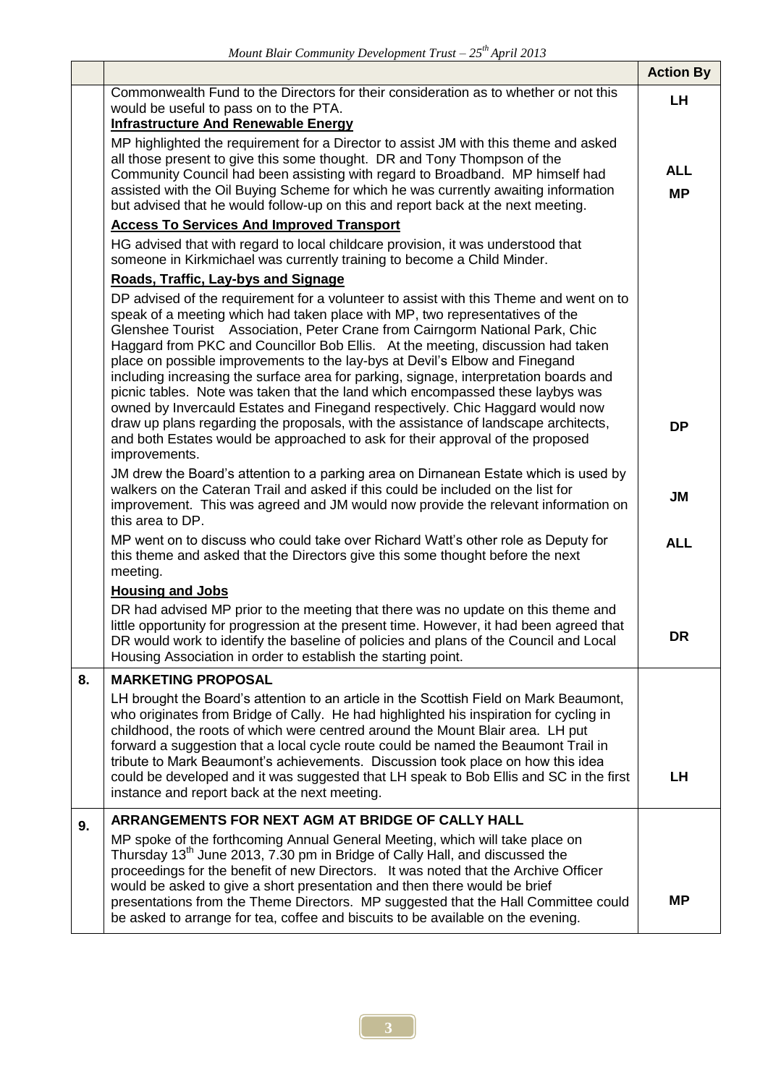|    |                                                                                                                                                                                                                                                                                                                                                                                                                                                                                                                                                                                                                                                                                      | <b>Action By</b>        |
|----|--------------------------------------------------------------------------------------------------------------------------------------------------------------------------------------------------------------------------------------------------------------------------------------------------------------------------------------------------------------------------------------------------------------------------------------------------------------------------------------------------------------------------------------------------------------------------------------------------------------------------------------------------------------------------------------|-------------------------|
|    | Commonwealth Fund to the Directors for their consideration as to whether or not this<br>would be useful to pass on to the PTA.<br><b>Infrastructure And Renewable Energy</b>                                                                                                                                                                                                                                                                                                                                                                                                                                                                                                         |                         |
|    | MP highlighted the requirement for a Director to assist JM with this theme and asked<br>all those present to give this some thought. DR and Tony Thompson of the<br>Community Council had been assisting with regard to Broadband. MP himself had<br>assisted with the Oil Buying Scheme for which he was currently awaiting information<br>but advised that he would follow-up on this and report back at the next meeting.                                                                                                                                                                                                                                                         | <b>ALL</b><br><b>MP</b> |
|    | <b>Access To Services And Improved Transport</b>                                                                                                                                                                                                                                                                                                                                                                                                                                                                                                                                                                                                                                     |                         |
|    | HG advised that with regard to local childcare provision, it was understood that<br>someone in Kirkmichael was currently training to become a Child Minder.                                                                                                                                                                                                                                                                                                                                                                                                                                                                                                                          |                         |
|    | Roads, Traffic, Lay-bys and Signage                                                                                                                                                                                                                                                                                                                                                                                                                                                                                                                                                                                                                                                  |                         |
|    | DP advised of the requirement for a volunteer to assist with this Theme and went on to<br>speak of a meeting which had taken place with MP, two representatives of the<br>Glenshee Tourist Association, Peter Crane from Cairngorm National Park, Chic<br>Haggard from PKC and Councillor Bob Ellis. At the meeting, discussion had taken<br>place on possible improvements to the lay-bys at Devil's Elbow and Finegand<br>including increasing the surface area for parking, signage, interpretation boards and<br>picnic tables. Note was taken that the land which encompassed these laybys was<br>owned by Invercauld Estates and Finegand respectively. Chic Haggard would now |                         |
|    | draw up plans regarding the proposals, with the assistance of landscape architects,<br>and both Estates would be approached to ask for their approval of the proposed<br>improvements.                                                                                                                                                                                                                                                                                                                                                                                                                                                                                               | DP                      |
|    | JM drew the Board's attention to a parking area on Dirnanean Estate which is used by<br>walkers on the Cateran Trail and asked if this could be included on the list for<br>improvement. This was agreed and JM would now provide the relevant information on<br>this area to DP.                                                                                                                                                                                                                                                                                                                                                                                                    | JM                      |
|    | MP went on to discuss who could take over Richard Watt's other role as Deputy for<br>this theme and asked that the Directors give this some thought before the next<br>meeting.                                                                                                                                                                                                                                                                                                                                                                                                                                                                                                      | <b>ALL</b>              |
|    | <b>Housing and Jobs</b>                                                                                                                                                                                                                                                                                                                                                                                                                                                                                                                                                                                                                                                              |                         |
|    | DR had advised MP prior to the meeting that there was no update on this theme and<br>little opportunity for progression at the present time. However, it had been agreed that<br>DR would work to identify the baseline of policies and plans of the Council and Local<br>Housing Association in order to establish the starting point.                                                                                                                                                                                                                                                                                                                                              | DR                      |
| 8. | <b>MARKETING PROPOSAL</b>                                                                                                                                                                                                                                                                                                                                                                                                                                                                                                                                                                                                                                                            |                         |
|    | LH brought the Board's attention to an article in the Scottish Field on Mark Beaumont,<br>who originates from Bridge of Cally. He had highlighted his inspiration for cycling in<br>childhood, the roots of which were centred around the Mount Blair area. LH put<br>forward a suggestion that a local cycle route could be named the Beaumont Trail in<br>tribute to Mark Beaumont's achievements. Discussion took place on how this idea<br>could be developed and it was suggested that LH speak to Bob Ellis and SC in the first<br>instance and report back at the next meeting.                                                                                               | LH                      |
| 9. | ARRANGEMENTS FOR NEXT AGM AT BRIDGE OF CALLY HALL                                                                                                                                                                                                                                                                                                                                                                                                                                                                                                                                                                                                                                    |                         |
|    | MP spoke of the forthcoming Annual General Meeting, which will take place on<br>Thursday 13 <sup>th</sup> June 2013, 7.30 pm in Bridge of Cally Hall, and discussed the<br>proceedings for the benefit of new Directors. It was noted that the Archive Officer<br>would be asked to give a short presentation and then there would be brief<br>presentations from the Theme Directors. MP suggested that the Hall Committee could<br>be asked to arrange for tea, coffee and biscuits to be available on the evening.                                                                                                                                                                | ΜP                      |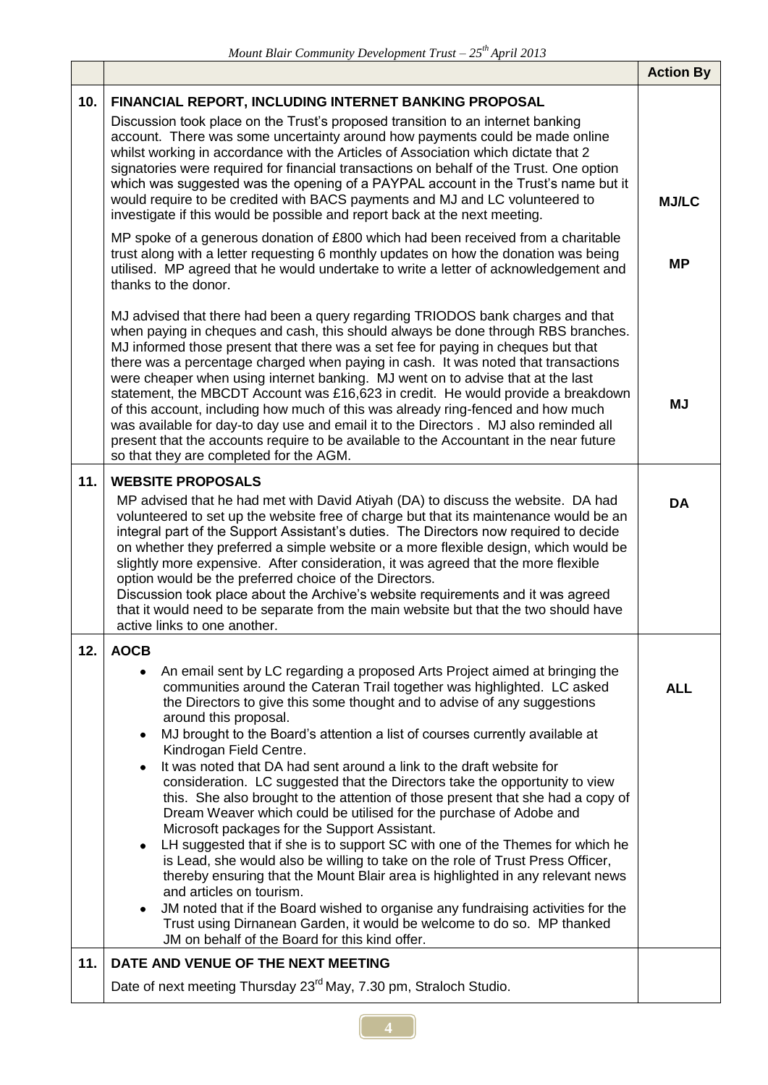|     |                                                                                                                                                                                                                                                                                                                                                                                                                                                                                                                                                                                                                                                                                                                                                                                                                                                                                                                                                                                                                                                                                                                                                                                                                                                                                              | <b>Action By</b> |
|-----|----------------------------------------------------------------------------------------------------------------------------------------------------------------------------------------------------------------------------------------------------------------------------------------------------------------------------------------------------------------------------------------------------------------------------------------------------------------------------------------------------------------------------------------------------------------------------------------------------------------------------------------------------------------------------------------------------------------------------------------------------------------------------------------------------------------------------------------------------------------------------------------------------------------------------------------------------------------------------------------------------------------------------------------------------------------------------------------------------------------------------------------------------------------------------------------------------------------------------------------------------------------------------------------------|------------------|
| 10. | FINANCIAL REPORT, INCLUDING INTERNET BANKING PROPOSAL                                                                                                                                                                                                                                                                                                                                                                                                                                                                                                                                                                                                                                                                                                                                                                                                                                                                                                                                                                                                                                                                                                                                                                                                                                        |                  |
|     | Discussion took place on the Trust's proposed transition to an internet banking<br>account. There was some uncertainty around how payments could be made online<br>whilst working in accordance with the Articles of Association which dictate that 2<br>signatories were required for financial transactions on behalf of the Trust. One option<br>which was suggested was the opening of a PAYPAL account in the Trust's name but it<br>would require to be credited with BACS payments and MJ and LC volunteered to<br>investigate if this would be possible and report back at the next meeting.                                                                                                                                                                                                                                                                                                                                                                                                                                                                                                                                                                                                                                                                                         | <b>MJ/LC</b>     |
|     | MP spoke of a generous donation of £800 which had been received from a charitable<br>trust along with a letter requesting 6 monthly updates on how the donation was being<br>utilised. MP agreed that he would undertake to write a letter of acknowledgement and<br>thanks to the donor.                                                                                                                                                                                                                                                                                                                                                                                                                                                                                                                                                                                                                                                                                                                                                                                                                                                                                                                                                                                                    | <b>MP</b>        |
|     | MJ advised that there had been a query regarding TRIODOS bank charges and that<br>when paying in cheques and cash, this should always be done through RBS branches.<br>MJ informed those present that there was a set fee for paying in cheques but that<br>there was a percentage charged when paying in cash. It was noted that transactions<br>were cheaper when using internet banking. MJ went on to advise that at the last<br>statement, the MBCDT Account was £16,623 in credit. He would provide a breakdown<br>of this account, including how much of this was already ring-fenced and how much<br>was available for day-to day use and email it to the Directors . MJ also reminded all<br>present that the accounts require to be available to the Accountant in the near future<br>so that they are completed for the AGM.                                                                                                                                                                                                                                                                                                                                                                                                                                                      | <b>MJ</b>        |
| 11. | <b>WEBSITE PROPOSALS</b>                                                                                                                                                                                                                                                                                                                                                                                                                                                                                                                                                                                                                                                                                                                                                                                                                                                                                                                                                                                                                                                                                                                                                                                                                                                                     |                  |
|     | MP advised that he had met with David Atiyah (DA) to discuss the website. DA had<br>volunteered to set up the website free of charge but that its maintenance would be an<br>integral part of the Support Assistant's duties. The Directors now required to decide<br>on whether they preferred a simple website or a more flexible design, which would be<br>slightly more expensive. After consideration, it was agreed that the more flexible<br>option would be the preferred choice of the Directors.<br>Discussion took place about the Archive's website requirements and it was agreed<br>that it would need to be separate from the main website but that the two should have<br>active links to one another.                                                                                                                                                                                                                                                                                                                                                                                                                                                                                                                                                                       |                  |
| 12. | <b>AOCB</b>                                                                                                                                                                                                                                                                                                                                                                                                                                                                                                                                                                                                                                                                                                                                                                                                                                                                                                                                                                                                                                                                                                                                                                                                                                                                                  |                  |
|     | An email sent by LC regarding a proposed Arts Project aimed at bringing the<br>communities around the Cateran Trail together was highlighted. LC asked<br>the Directors to give this some thought and to advise of any suggestions<br>around this proposal.<br>MJ brought to the Board's attention a list of courses currently available at<br>$\bullet$<br>Kindrogan Field Centre.<br>It was noted that DA had sent around a link to the draft website for<br>$\bullet$<br>consideration. LC suggested that the Directors take the opportunity to view<br>this. She also brought to the attention of those present that she had a copy of<br>Dream Weaver which could be utilised for the purchase of Adobe and<br>Microsoft packages for the Support Assistant.<br>LH suggested that if she is to support SC with one of the Themes for which he<br>$\bullet$<br>is Lead, she would also be willing to take on the role of Trust Press Officer,<br>thereby ensuring that the Mount Blair area is highlighted in any relevant news<br>and articles on tourism.<br>JM noted that if the Board wished to organise any fundraising activities for the<br>$\bullet$<br>Trust using Dirnanean Garden, it would be welcome to do so. MP thanked<br>JM on behalf of the Board for this kind offer. | <b>ALL</b>       |
| 11. | DATE AND VENUE OF THE NEXT MEETING                                                                                                                                                                                                                                                                                                                                                                                                                                                                                                                                                                                                                                                                                                                                                                                                                                                                                                                                                                                                                                                                                                                                                                                                                                                           |                  |
|     | Date of next meeting Thursday 23 <sup>rd</sup> May, 7.30 pm, Straloch Studio.                                                                                                                                                                                                                                                                                                                                                                                                                                                                                                                                                                                                                                                                                                                                                                                                                                                                                                                                                                                                                                                                                                                                                                                                                |                  |